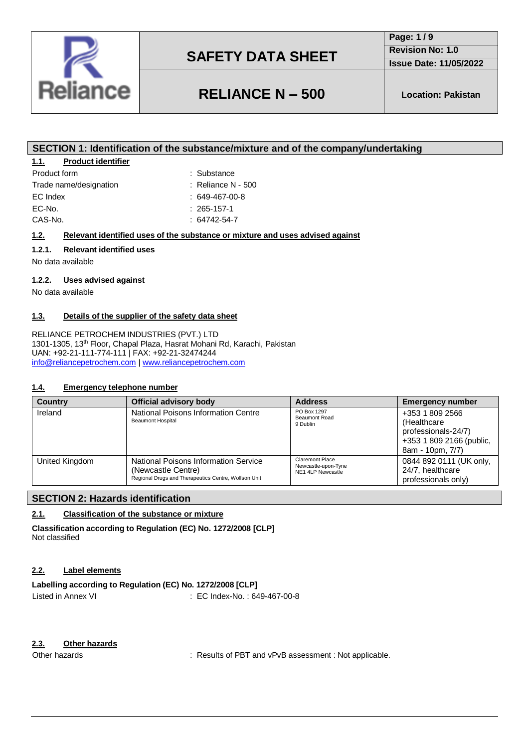

**Page: 1 / 9 Revision No: 1.0**

**Issue Date: 11/05/2022**

# **RELIANCE N – 500 Location: Pakistan**

# **SECTION 1: Identification of the substance/mixture and of the company/undertaking**

## **1.1. Product identifier**

| Product form           |
|------------------------|
| Trade name/designation |
| EC Index               |
| EC-No.                 |
| CAS-No.                |

 $\therefore$  Reliance N - 500  $: 649-467-00-8$ 

: Substance

- $: 265 157 1$ 
	- $: 64742 54 7$

## **1.2. Relevant identified uses of the substance or mixture and uses advised against**

### **1.2.1. Relevant identified uses**

No data available

### **1.2.2. Uses advised against**

No data available

### **1.3. Details of the supplier of the safety data sheet**

RELIANCE PETROCHEM INDUSTRIES (PVT.) LTD 1301-1305, 13th Floor, Chapal Plaza, Hasrat Mohani Rd, Karachi, Pakistan UAN: +92-21-111-774-111 | FAX: +92-21-32474244 [info@reliancepetrochem.com](mailto:info@reliancepetrochem.com) [| www.reliancepetrochem.com](http://www.reliancepetrochem.com/)

### **1.4. Emergency telephone number**

| <b>Country</b> | <b>Official advisory body</b>                                                                                      | <b>Address</b>                                              | <b>Emergency number</b>                                                                               |
|----------------|--------------------------------------------------------------------------------------------------------------------|-------------------------------------------------------------|-------------------------------------------------------------------------------------------------------|
| Ireland        | National Poisons Information Centre<br><b>Beaumont Hospital</b>                                                    | PO Box 1297<br><b>Beaumont Road</b><br>9 Dublin             | +353 1 809 2566<br>(Healthcare<br>professionals-24/7)<br>+353 1 809 2166 (public,<br>8am - 10pm, 7/7) |
| United Kingdom | National Poisons Information Service<br>(Newcastle Centre)<br>Regional Drugs and Therapeutics Centre, Wolfson Unit | Claremont Place<br>Newcastle-upon-Tyne<br>NE1 4LP Newcastle | 0844 892 0111 (UK only,<br>24/7, healthcare<br>professionals only)                                    |

## **SECTION 2: Hazards identification**

### **2.1. Classification of the substance or mixture**

**Classification according to Regulation (EC) No. 1272/2008 [CLP]** Not classified

### **2.2. Label elements**

### **Labelling according to Regulation (EC) No. 1272/2008 [CLP]** Listed in Annex VI : EC Index-No.: 649-467-00-8

### **2.3. Other hazards**

Other hazards **in the substitute of PBT** and vPvB assessment : Not applicable.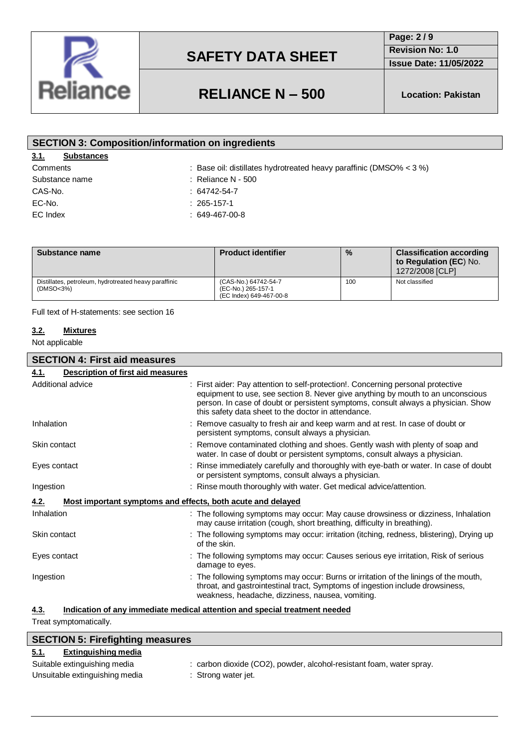

**Page: 2 / 9**

**Revision No: 1.0 Issue Date: 11/05/2022**

# **RELIANCE N – 500 Location: Pakistan**

| <b>SECTION 3: Composition/information on ingredients</b> |                                                                       |  |  |
|----------------------------------------------------------|-----------------------------------------------------------------------|--|--|
| 3.1.<br><b>Substances</b>                                |                                                                       |  |  |
| Comments                                                 | : Base oil: distillates hydrotreated heavy paraffinic (DMSO% $<$ 3 %) |  |  |
| Substance name                                           | $\therefore$ Reliance N - 500                                         |  |  |
| CAS-No.                                                  | $: 64742 - 54 - 7$                                                    |  |  |
| EC-No.                                                   | $: 265 - 157 - 1$                                                     |  |  |
| EC Index                                                 | $: 649-467-00-8$                                                      |  |  |
|                                                          |                                                                       |  |  |

| Substance name                                                     | <b>Product identifier</b>                                             | $\frac{9}{6}$ | <b>Classification according</b><br>to Regulation (EC) No.<br>1272/2008 [CLP] |
|--------------------------------------------------------------------|-----------------------------------------------------------------------|---------------|------------------------------------------------------------------------------|
| Distillates, petroleum, hydrotreated heavy paraffinic<br>(DMSO<3%) | (CAS-No.) 64742-54-7<br>(EC-No.) 265-157-1<br>(EC Index) 649-467-00-8 | 100           | Not classified                                                               |

Full text of H-statements: see section 16

## **3.2. Mixtures**

Not applicable

| <b>SECTION 4: First aid measures</b>                                               |                                                                                                                                                                                                                                                                                                                 |  |  |
|------------------------------------------------------------------------------------|-----------------------------------------------------------------------------------------------------------------------------------------------------------------------------------------------------------------------------------------------------------------------------------------------------------------|--|--|
| <b>Description of first aid measures</b><br>4.1.                                   |                                                                                                                                                                                                                                                                                                                 |  |  |
| Additional advice                                                                  | : First aider: Pay attention to self-protection!. Concerning personal protective<br>equipment to use, see section 8. Never give anything by mouth to an unconscious<br>person. In case of doubt or persistent symptoms, consult always a physician. Show<br>this safety data sheet to the doctor in attendance. |  |  |
| Inhalation                                                                         | : Remove casualty to fresh air and keep warm and at rest. In case of doubt or<br>persistent symptoms, consult always a physician.                                                                                                                                                                               |  |  |
| Skin contact                                                                       | : Remove contaminated clothing and shoes. Gently wash with plenty of soap and<br>water. In case of doubt or persistent symptoms, consult always a physician.                                                                                                                                                    |  |  |
| Eyes contact                                                                       | : Rinse immediately carefully and thoroughly with eye-bath or water. In case of doubt<br>or persistent symptoms, consult always a physician.                                                                                                                                                                    |  |  |
| Ingestion                                                                          | : Rinse mouth thoroughly with water. Get medical advice/attention.                                                                                                                                                                                                                                              |  |  |
| Most important symptoms and effects, both acute and delayed<br>4.2.                |                                                                                                                                                                                                                                                                                                                 |  |  |
| Inhalation                                                                         | : The following symptoms may occur: May cause drowsiness or dizziness, Inhalation<br>may cause irritation (cough, short breathing, difficulty in breathing).                                                                                                                                                    |  |  |
| Skin contact                                                                       | : The following symptoms may occur: irritation (itching, redness, blistering), Drying up<br>of the skin.                                                                                                                                                                                                        |  |  |
| Eyes contact                                                                       | : The following symptoms may occur: Causes serious eye irritation, Risk of serious<br>damage to eyes.                                                                                                                                                                                                           |  |  |
| Ingestion                                                                          | : The following symptoms may occur: Burns or irritation of the linings of the mouth,<br>throat, and gastrointestinal tract, Symptoms of ingestion include drowsiness,<br>weakness, headache, dizziness, nausea, vomiting.                                                                                       |  |  |
| Indication of any immediate medical attention and special treatment needed<br>4.3. |                                                                                                                                                                                                                                                                                                                 |  |  |

Treat symptomatically.

 $\overline{\phantom{a}}$ 

| <b>SECTION 5: Firefighting measures</b> |                                                                      |  |  |
|-----------------------------------------|----------------------------------------------------------------------|--|--|
| Extinguishing media<br>5.1.             |                                                                      |  |  |
| Suitable extinguishing media            | : carbon dioxide (CO2), powder, alcohol-resistant foam, water spray. |  |  |
| Unsuitable extinguishing media          | : Strong water jet.                                                  |  |  |
|                                         |                                                                      |  |  |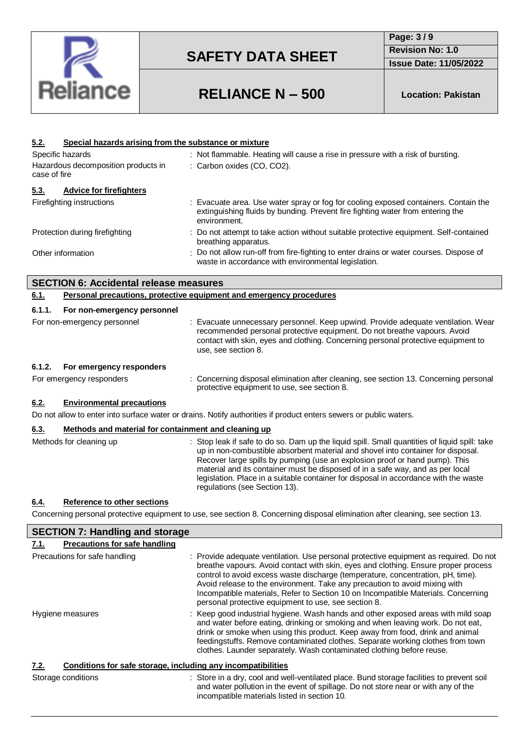

**Page: 3 / 9 Revision No: 1.0**

**Issue Date: 11/05/2022**

# **RELIANCE N – 500 Location: Pakistan**

| Special hazards arising from the substance or mixture<br><u>5.2.</u>                                              |                                                                                                                                                                                                                                                                                                                                                                                                                                                                             |  |  |
|-------------------------------------------------------------------------------------------------------------------|-----------------------------------------------------------------------------------------------------------------------------------------------------------------------------------------------------------------------------------------------------------------------------------------------------------------------------------------------------------------------------------------------------------------------------------------------------------------------------|--|--|
| Specific hazards                                                                                                  | : Not flammable. Heating will cause a rise in pressure with a risk of bursting.                                                                                                                                                                                                                                                                                                                                                                                             |  |  |
| Hazardous decomposition products in                                                                               | : Carbon oxides (CO, CO2).                                                                                                                                                                                                                                                                                                                                                                                                                                                  |  |  |
| case of fire                                                                                                      |                                                                                                                                                                                                                                                                                                                                                                                                                                                                             |  |  |
| 5.3.<br><b>Advice for firefighters</b>                                                                            |                                                                                                                                                                                                                                                                                                                                                                                                                                                                             |  |  |
| Firefighting instructions                                                                                         | Evacuate area. Use water spray or fog for cooling exposed containers. Contain the<br>extinguishing fluids by bunding. Prevent fire fighting water from entering the<br>environment.                                                                                                                                                                                                                                                                                         |  |  |
| Protection during firefighting                                                                                    | : Do not attempt to take action without suitable protective equipment. Self-contained<br>breathing apparatus.                                                                                                                                                                                                                                                                                                                                                               |  |  |
| Other information                                                                                                 | Do not allow run-off from fire-fighting to enter drains or water courses. Dispose of<br>waste in accordance with environmental legislation.                                                                                                                                                                                                                                                                                                                                 |  |  |
| <b>SECTION 6: Accidental release measures</b>                                                                     |                                                                                                                                                                                                                                                                                                                                                                                                                                                                             |  |  |
| 6.1.                                                                                                              | Personal precautions, protective equipment and emergency procedures                                                                                                                                                                                                                                                                                                                                                                                                         |  |  |
| 6.1.1.<br>For non-emergency personnel                                                                             |                                                                                                                                                                                                                                                                                                                                                                                                                                                                             |  |  |
| For non-emergency personnel                                                                                       | : Evacuate unnecessary personnel. Keep upwind. Provide adequate ventilation. Wear<br>recommended personal protective equipment. Do not breathe vapours. Avoid<br>contact with skin, eyes and clothing. Concerning personal protective equipment to<br>use, see section 8.                                                                                                                                                                                                   |  |  |
| 6.1.2.<br>For emergency responders                                                                                |                                                                                                                                                                                                                                                                                                                                                                                                                                                                             |  |  |
| For emergency responders                                                                                          | : Concerning disposal elimination after cleaning, see section 13. Concerning personal<br>protective equipment to use, see section 8.                                                                                                                                                                                                                                                                                                                                        |  |  |
| <b>Environmental precautions</b><br>6.2.                                                                          |                                                                                                                                                                                                                                                                                                                                                                                                                                                                             |  |  |
| Do not allow to enter into surface water or drains. Notify authorities if product enters sewers or public waters. |                                                                                                                                                                                                                                                                                                                                                                                                                                                                             |  |  |
| 6.3.<br>Methods and material for containment and cleaning up                                                      |                                                                                                                                                                                                                                                                                                                                                                                                                                                                             |  |  |
| Methods for cleaning up                                                                                           | : Stop leak if safe to do so. Dam up the liquid spill. Small quantities of liquid spill: take<br>up in non-combustible absorbent material and shovel into container for disposal.<br>Recover large spills by pumping (use an explosion proof or hand pump). This<br>material and its container must be disposed of in a safe way, and as per local<br>legislation. Place in a suitable container for disposal in accordance with the waste<br>regulations (see Section 13). |  |  |
| Reference to other sections<br>6.4.                                                                               |                                                                                                                                                                                                                                                                                                                                                                                                                                                                             |  |  |

Concerning personal protective equipment to use, see section 8. Concerning disposal elimination after cleaning, see section 13.

| <b>SECTION 7: Handling and storage</b>                               |                                                                                                                                                                                                                                                                                                                                                                                                                                                                                           |
|----------------------------------------------------------------------|-------------------------------------------------------------------------------------------------------------------------------------------------------------------------------------------------------------------------------------------------------------------------------------------------------------------------------------------------------------------------------------------------------------------------------------------------------------------------------------------|
| <b>Precautions for safe handling</b><br>7.1.                         |                                                                                                                                                                                                                                                                                                                                                                                                                                                                                           |
| Precautions for safe handling                                        | : Provide adequate ventilation. Use personal protective equipment as required. Do not<br>breathe vapours. Avoid contact with skin, eyes and clothing. Ensure proper process<br>control to avoid excess waste discharge (temperature, concentration, pH, time).<br>Avoid release to the environment. Take any precaution to avoid mixing with<br>Incompatible materials, Refer to Section 10 on Incompatible Materials. Concerning<br>personal protective equipment to use, see section 8. |
| Hygiene measures                                                     | : Keep good industrial hygiene. Wash hands and other exposed areas with mild soap<br>and water before eating, drinking or smoking and when leaving work. Do not eat,<br>drink or smoke when using this product. Keep away from food, drink and animal<br>feedingstuffs. Remove contaminated clothes. Separate working clothes from town<br>clothes. Launder separately. Wash contaminated clothing before reuse.                                                                          |
| Conditions for safe storage, including any incompatibilities<br>7.2. |                                                                                                                                                                                                                                                                                                                                                                                                                                                                                           |
| Storage conditions                                                   | : Store in a dry, cool and well-ventilated place. Bund storage facilities to prevent soil<br>and water pollution in the event of spillage. Do not store near or with any of the<br>incompatible materials listed in section 10.                                                                                                                                                                                                                                                           |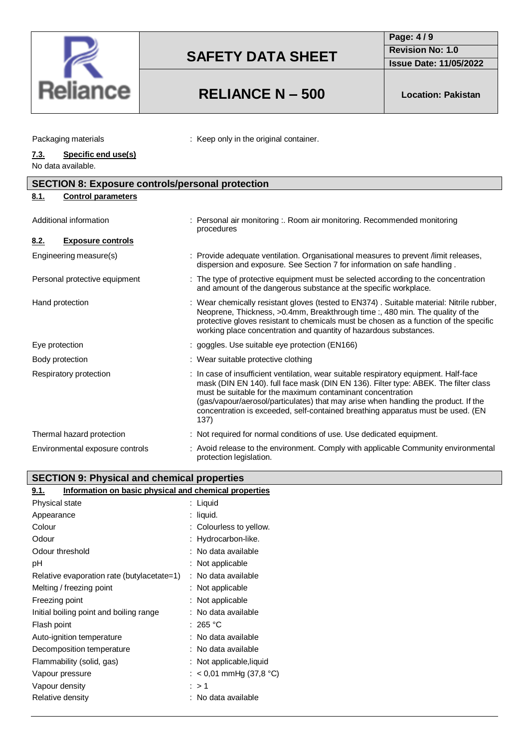

# **RELIANCE N – 500 Location: Pakistan**

: Keep only in the original container.

**Page: 4 / 9 Revision No: 1.0**

**Issue Date: 11/05/2022**

|    | Packaging materials |  |
|----|---------------------|--|
| 73 | Specific end use(s) |  |

## **7.3. Specific end use(s)**

No data available.

| <b>SECTION 8: Exposure controls/personal protection</b> |                                                                                                                                                                                                                                                                                                                                                                                                                             |  |  |
|---------------------------------------------------------|-----------------------------------------------------------------------------------------------------------------------------------------------------------------------------------------------------------------------------------------------------------------------------------------------------------------------------------------------------------------------------------------------------------------------------|--|--|
| 8.1.<br><b>Control parameters</b>                       |                                                                                                                                                                                                                                                                                                                                                                                                                             |  |  |
| Additional information                                  | : Personal air monitoring :. Room air monitoring. Recommended monitoring<br>procedures                                                                                                                                                                                                                                                                                                                                      |  |  |
| <b>Exposure controls</b><br>8.2.                        |                                                                                                                                                                                                                                                                                                                                                                                                                             |  |  |
| Engineering measure(s)                                  | : Provide adequate ventilation. Organisational measures to prevent /limit releases,<br>dispersion and exposure. See Section 7 for information on safe handling.                                                                                                                                                                                                                                                             |  |  |
| Personal protective equipment                           | : The type of protective equipment must be selected according to the concentration<br>and amount of the dangerous substance at the specific workplace.                                                                                                                                                                                                                                                                      |  |  |
| Hand protection                                         | : Wear chemically resistant gloves (tested to EN374). Suitable material: Nitrile rubber,<br>Neoprene, Thickness, >0.4mm, Breakthrough time :, 480 min. The quality of the<br>protective gloves resistant to chemicals must be chosen as a function of the specific<br>working place concentration and quantity of hazardous substances.                                                                                     |  |  |
| Eye protection                                          | : goggles. Use suitable eye protection (EN166)                                                                                                                                                                                                                                                                                                                                                                              |  |  |
| Body protection                                         | : Wear suitable protective clothing                                                                                                                                                                                                                                                                                                                                                                                         |  |  |
| Respiratory protection                                  | : In case of insufficient ventilation, wear suitable respiratory equipment. Half-face<br>mask (DIN EN 140). full face mask (DIN EN 136). Filter type: ABEK. The filter class<br>must be suitable for the maximum contaminant concentration<br>(gas/vapour/aerosol/particulates) that may arise when handling the product. If the<br>concentration is exceeded, self-contained breathing apparatus must be used. (EN<br>137) |  |  |
| Thermal hazard protection                               | : Not required for normal conditions of use. Use dedicated equipment.                                                                                                                                                                                                                                                                                                                                                       |  |  |
| Environmental exposure controls                         | : Avoid release to the environment. Comply with applicable Community environmental<br>protection legislation.                                                                                                                                                                                                                                                                                                               |  |  |

# **SECTION 9: Physical and chemical properties**

| Information on basic physical and chemical properties<br>9.1. |                           |
|---------------------------------------------------------------|---------------------------|
| Physical state                                                | : Liquid                  |
| Appearance                                                    | : liquid.                 |
| Colour                                                        | : Colourless to yellow.   |
| Odour                                                         | : Hydrocarbon-like.       |
| Odour threshold                                               | : No data available       |
| рH                                                            | : Not applicable          |
| Relative evaporation rate (butylacetate=1)                    | : No data available       |
| Melting / freezing point                                      | : Not applicable          |
| Freezing point                                                | : Not applicable          |
| Initial boiling point and boiling range                       | No data available         |
| Flash point                                                   | :265 °C                   |
| Auto-ignition temperature                                     | No data available         |
| Decomposition temperature                                     | : No data available       |
| Flammability (solid, gas)                                     | : Not applicable, liquid  |
| Vapour pressure                                               | : $<$ 0,01 mmHg (37,8 °C) |
| Vapour density                                                | :>1                       |
| Relative density                                              | No data available         |
|                                                               |                           |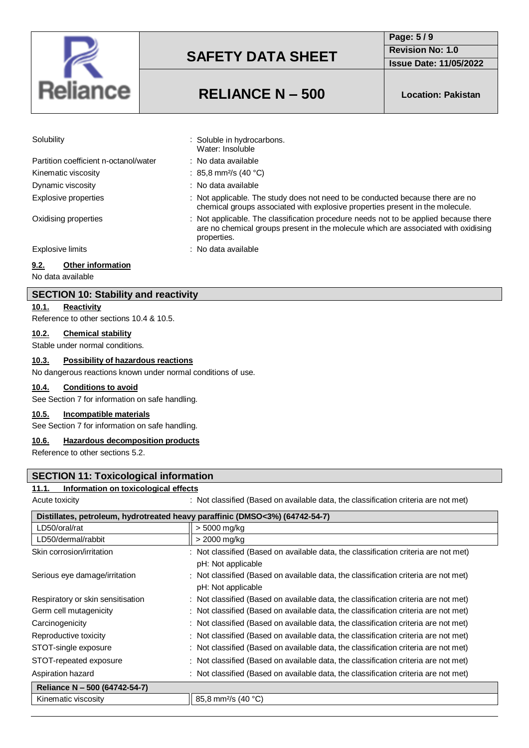

# **Revision No: 1.0**

: Not applicable. The study does not need to be conducted because there are no chemical groups associated with explosive properties present in the molecule.

are no chemical groups present in the molecule which are associated with oxidising

**Issue Date: 11/05/2022**

**Page: 5 / 9**

# **RELIANCE N – 500 Location: Pakistan**

: Soluble in hydrocarbons. Water: Insoluble : No data available :  $85.8 \text{ mm}^2/\text{s}$  (40 °C) : No data available

properties.

| Solubility |  |
|------------|--|
|            |  |

| Partition coefficient n-octanol/water |
|---------------------------------------|
| Kinematic viscosity                   |
| Dynamic viscosity                     |
| <b>Explosive properties</b>           |

Oxidising properties : Not applicable. The classification procedure needs not to be applied because there

Explosive limits **Explosive limits Explosive limits Explosive limits EXPLOSIVE 2** 

### **9.2. Other information**

No data available

### **SECTION 10: Stability and reactivity**

**10.1. Reactivity**

Reference to other sections 10.4 & 10.5.

#### **10.2. Chemical stability**

Stable under normal conditions.

## **10.3. Possibility of hazardous reactions**

No dangerous reactions known under normal conditions of use.

### **10.4. Conditions to avoid**

See Section 7 for information on safe handling.

#### **10.5. Incompatible materials**

See Section 7 for information on safe handling.

#### **10.6. Hazardous decomposition products**

Reference to other sections 5.2.

### **SECTION 11: Toxicological information**

#### **11.1. Information on toxicological effects**

Acute toxicity **interval on a set on available data**, the classification criteria are not met)

| Distillates, petroleum, hydrotreated heavy paraffinic (DMSO<3%) (64742-54-7) |                                                                                     |  |
|------------------------------------------------------------------------------|-------------------------------------------------------------------------------------|--|
| LD50/oral/rat                                                                | > 5000 mg/kg                                                                        |  |
| LD50/dermal/rabbit                                                           | > 2000 mg/kg                                                                        |  |
| Skin corrosion/irritation                                                    | : Not classified (Based on available data, the classification criteria are not met) |  |
|                                                                              | pH: Not applicable                                                                  |  |
| Serious eye damage/irritation                                                | : Not classified (Based on available data, the classification criteria are not met) |  |
|                                                                              | pH: Not applicable                                                                  |  |
| Respiratory or skin sensitisation                                            | : Not classified (Based on available data, the classification criteria are not met) |  |
| Germ cell mutagenicity                                                       | : Not classified (Based on available data, the classification criteria are not met) |  |
| Carcinogenicity                                                              | : Not classified (Based on available data, the classification criteria are not met) |  |
| Reproductive toxicity                                                        | : Not classified (Based on available data, the classification criteria are not met) |  |
| STOT-single exposure                                                         | : Not classified (Based on available data, the classification criteria are not met) |  |
| STOT-repeated exposure                                                       | : Not classified (Based on available data, the classification criteria are not met) |  |
| Aspiration hazard                                                            | : Not classified (Based on available data, the classification criteria are not met) |  |
| Reliance N - 500 (64742-54-7)                                                |                                                                                     |  |
| Kinematic viscosity                                                          | 85,8 mm <sup>2</sup> /s (40 °C)                                                     |  |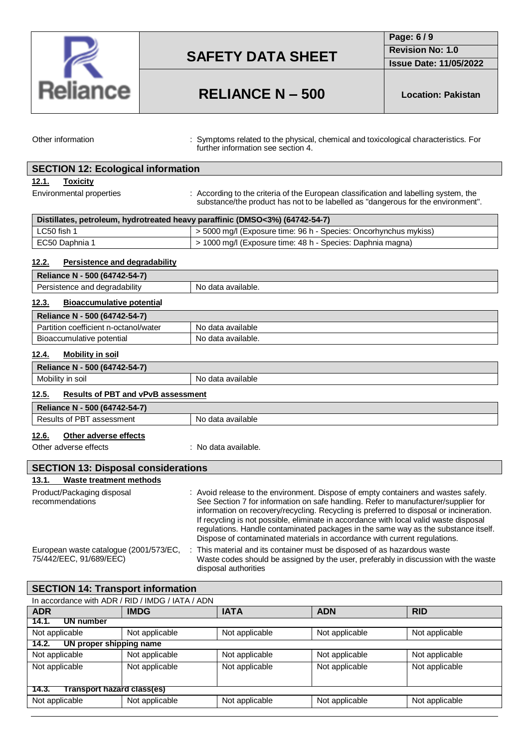

**Page: 6 / 9**

**Revision No: 1.0**

**Issue Date: 11/05/2022**

# **RELIANCE N – 500 Location: Pakistan**

Other information : Symptoms related to the physical, chemical and toxicological characteristics. For further information see section 4.

| <b>SECTION 12: Ecological information</b>                                    |                                                                                                                                                                                                                                                                                                                                                                                                                                                                                                                                |  |
|------------------------------------------------------------------------------|--------------------------------------------------------------------------------------------------------------------------------------------------------------------------------------------------------------------------------------------------------------------------------------------------------------------------------------------------------------------------------------------------------------------------------------------------------------------------------------------------------------------------------|--|
| 12.1.<br><b>Toxicity</b>                                                     |                                                                                                                                                                                                                                                                                                                                                                                                                                                                                                                                |  |
| Environmental properties                                                     | : According to the criteria of the European classification and labelling system, the<br>substance/the product has not to be labelled as "dangerous for the environment".                                                                                                                                                                                                                                                                                                                                                       |  |
| Distillates, petroleum, hydrotreated heavy paraffinic (DMSO<3%) (64742-54-7) |                                                                                                                                                                                                                                                                                                                                                                                                                                                                                                                                |  |
| LC50 fish 1                                                                  | > 5000 mg/l (Exposure time: 96 h - Species: Oncorhynchus mykiss)                                                                                                                                                                                                                                                                                                                                                                                                                                                               |  |
| EC50 Daphnia 1                                                               | > 1000 mg/l (Exposure time: 48 h - Species: Daphnia magna)                                                                                                                                                                                                                                                                                                                                                                                                                                                                     |  |
| 12.2.<br><b>Persistence and degradability</b>                                |                                                                                                                                                                                                                                                                                                                                                                                                                                                                                                                                |  |
| Reliance N - 500 (64742-54-7)                                                |                                                                                                                                                                                                                                                                                                                                                                                                                                                                                                                                |  |
| Persistence and degradability                                                | No data available.                                                                                                                                                                                                                                                                                                                                                                                                                                                                                                             |  |
| 12.3.<br><b>Bioaccumulative potential</b>                                    |                                                                                                                                                                                                                                                                                                                                                                                                                                                                                                                                |  |
| Reliance N - 500 (64742-54-7)                                                |                                                                                                                                                                                                                                                                                                                                                                                                                                                                                                                                |  |
| Partition coefficient n-octanol/water                                        | No data available                                                                                                                                                                                                                                                                                                                                                                                                                                                                                                              |  |
| Bioaccumulative potential                                                    | No data available.                                                                                                                                                                                                                                                                                                                                                                                                                                                                                                             |  |
| 12.4.<br><b>Mobility in soil</b>                                             |                                                                                                                                                                                                                                                                                                                                                                                                                                                                                                                                |  |
| Reliance N - 500 (64742-54-7)                                                |                                                                                                                                                                                                                                                                                                                                                                                                                                                                                                                                |  |
| Mobility in soil                                                             | No data available                                                                                                                                                                                                                                                                                                                                                                                                                                                                                                              |  |
| <b>Results of PBT and vPvB assessment</b><br>12.5.                           |                                                                                                                                                                                                                                                                                                                                                                                                                                                                                                                                |  |
| Reliance N - 500 (64742-54-7)                                                |                                                                                                                                                                                                                                                                                                                                                                                                                                                                                                                                |  |
| Results of PBT assessment                                                    | No data available                                                                                                                                                                                                                                                                                                                                                                                                                                                                                                              |  |
| 12.6.<br>Other adverse effects                                               |                                                                                                                                                                                                                                                                                                                                                                                                                                                                                                                                |  |
| Other adverse effects                                                        | : No data available.                                                                                                                                                                                                                                                                                                                                                                                                                                                                                                           |  |
| <b>SECTION 13: Disposal considerations</b>                                   |                                                                                                                                                                                                                                                                                                                                                                                                                                                                                                                                |  |
| <b>Waste treatment methods</b><br>13.1.                                      |                                                                                                                                                                                                                                                                                                                                                                                                                                                                                                                                |  |
| Product/Packaging disposal<br>recommendations                                | : Avoid release to the environment. Dispose of empty containers and wastes safely.<br>See Section 7 for information on safe handling. Refer to manufacturer/supplier for<br>information on recovery/recycling. Recycling is preferred to disposal or incineration.<br>If recycling is not possible, eliminate in accordance with local valid waste disposal<br>regulations. Handle contaminated packages in the same way as the substance itself.<br>Dispose of contaminated materials in accordance with current regulations. |  |
| European waste catalogue (2001/573/EC,                                       | This material and its container must be disposed of as hazardous waste                                                                                                                                                                                                                                                                                                                                                                                                                                                         |  |

75/442/EEC, 91/689/EEC) Waste codes should be assigned by the user, preferably in discussion with the waste disposal authorities

# **SECTION 14: Transport information** In accordance with ADR / RID / IMDG / IATA / ADN **ADR IMDG IATA ADN RID 14.1. UN number** Not applicable <br>Not applicable <br>Not applicable Not applicable Not applicable Not applicable **14.2. UN proper shipping name** Not applicable Not applicable Not applicable Not applicable Not applicable Not applicable Not applicable Not applicable Not applicable Not applicable Not applicable Not applicable **14.3. Transport hazard class(es)** Not applicable  $\vert$  Not applicable  $\vert$  Not applicable  $\vert$  Not applicable  $\vert$  Not applicable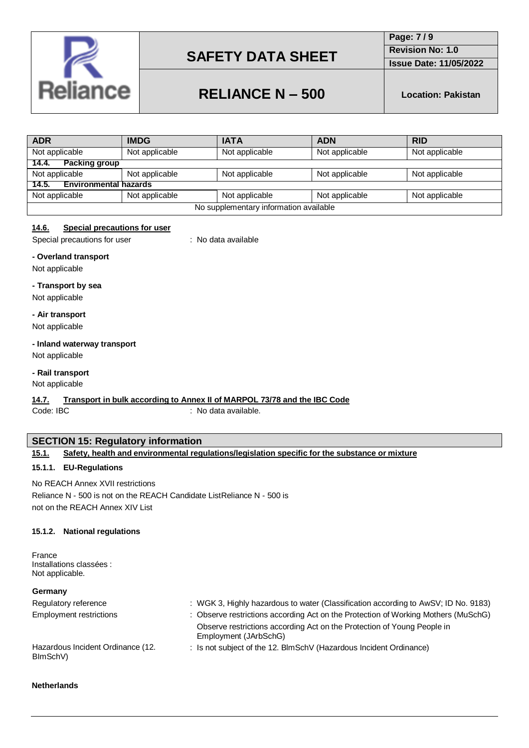

**Page: 7 / 9 Revision No: 1.0**

**Issue Date: 11/05/2022**

# **RELIANCE N – 500 Location: Pakistan**

| <b>ADR</b>                             | <b>IMDG</b>    | <b>IATA</b>    | <b>ADN</b>     | <b>RID</b>     |
|----------------------------------------|----------------|----------------|----------------|----------------|
| Not applicable                         | Not applicable | Not applicable | Not applicable | Not applicable |
| <b>Packing group</b><br>14.4.          |                |                |                |                |
| Not applicable                         | Not applicable | Not applicable | Not applicable | Not applicable |
| <b>Environmental hazards</b><br>14.5.  |                |                |                |                |
| Not applicable                         | Not applicable | Not applicable | Not applicable | Not applicable |
| No supplementary information available |                |                |                |                |

## **14.6. Special precautions for user**

Special precautions for user : No data available

### **- Overland transport**

Not applicable

### **- Transport by sea**

Not applicable

### **- Air transport**

Not applicable

# **- Inland waterway transport**

Not applicable

# **- Rail transport**

Not applicable

### **14.7. Transport in bulk according to Annex II of MARPOL 73/78 and the IBC Code**

Code: IBC : No data available.

## **SECTION 15: Regulatory information**

### **15.1.1. EU-Regulations**

No REACH Annex XVII restrictions Reliance N - 500 is not on the REACH Candidate ListReliance N - 500 is not on the REACH Annex XIV List

### **15.1.2. National regulations**

France Installations classées : Not applicable.

## **Germany**

| : WGK 3, Highly hazardous to water (Classification according to AwSV; ID No. 9183)               |
|--------------------------------------------------------------------------------------------------|
| : Observe restrictions according Act on the Protection of Working Mothers (MuSchG)               |
| Observe restrictions according Act on the Protection of Young People in<br>Employment (JArbSchG) |
| : Is not subject of the 12. BlmSchV (Hazardous Incident Ordinance)                               |
|                                                                                                  |

### **Netherlands**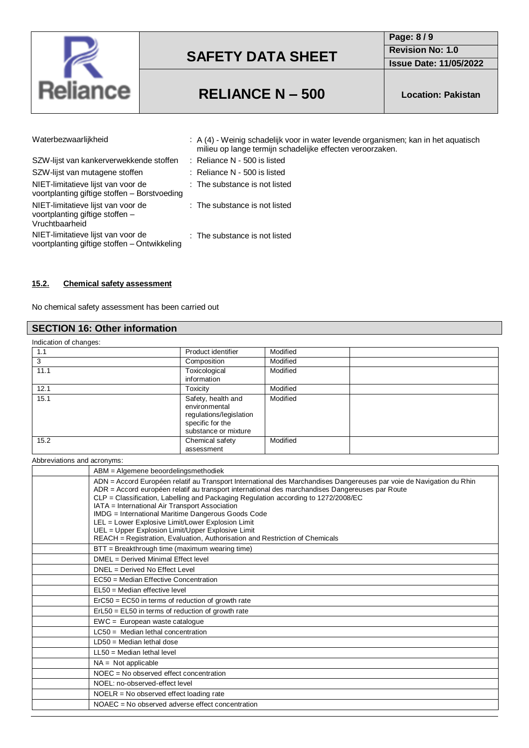

**Page: 8 / 9 Revision No: 1.0**

**Issue Date: 11/05/2022**

# **RELIANCE N – 500 Location: Pakistan**

| Waterbezwaarlijkheid                                                                    | : A (4) - Weinig schadelijk voor in water levende organismen; kan in het aguatisch<br>milieu op lange termijn schadelijke effecten veroorzaken. |
|-----------------------------------------------------------------------------------------|-------------------------------------------------------------------------------------------------------------------------------------------------|
| SZW-lijst van kankerverwekkende stoffen                                                 | $:$ Reliance N - 500 is listed                                                                                                                  |
| SZW-lijst van mutagene stoffen                                                          | $:$ Reliance N - 500 is listed                                                                                                                  |
| NIET-limitatieve lijst van voor de<br>voortplanting giftige stoffen - Borstvoeding      | : The substance is not listed                                                                                                                   |
| NIET-limitatieve lijst van voor de<br>voortplanting giftige stoffen -<br>Vruchtbaarheid | : The substance is not listed                                                                                                                   |
| NIET-limitatieve lijst van voor de<br>voortplanting giftige stoffen - Ontwikkeling      | : The substance is not listed                                                                                                                   |

### **15.2. Chemical safety assessment**

No chemical safety assessment has been carried out

# **SECTION 16: Other information**

| Indication of changes: |                                                                                                            |          |  |
|------------------------|------------------------------------------------------------------------------------------------------------|----------|--|
| 1.1                    | Product identifier                                                                                         | Modified |  |
| 3                      | Composition                                                                                                | Modified |  |
| 11.1                   | Toxicological<br>information                                                                               | Modified |  |
| 12.1                   | <b>Toxicity</b>                                                                                            | Modified |  |
| 15.1                   | Safety, health and<br>environmental<br>regulations/legislation<br>specific for the<br>substance or mixture | Modified |  |
| 15.2                   | Chemical safety<br>assessment                                                                              | Modified |  |

Abbreviations and acronyms:

| ABM = Algemene beoordelingsmethodiek                                                                                                                                                                                                                                                                                                                                                                                                                                                                                                                                                                            |
|-----------------------------------------------------------------------------------------------------------------------------------------------------------------------------------------------------------------------------------------------------------------------------------------------------------------------------------------------------------------------------------------------------------------------------------------------------------------------------------------------------------------------------------------------------------------------------------------------------------------|
| ADN = Accord Européen relatif au Transport International des Marchandises Dangereuses par voie de Navigation du Rhin<br>ADR = Accord européen relatif au transport international des marchandises Dangereuses par Route<br>CLP = Classification, Labelling and Packaging Regulation according to 1272/2008/EC<br>IATA = International Air Transport Association<br>IMDG = International Maritime Dangerous Goods Code<br>LEL = Lower Explosive Limit/Lower Explosion Limit<br>UEL = Upper Explosion Limit/Upper Explosive Limit<br>REACH = Registration, Evaluation, Authorisation and Restriction of Chemicals |
| BTT = Breakthrough time (maximum wearing time)                                                                                                                                                                                                                                                                                                                                                                                                                                                                                                                                                                  |
| DMEL = Derived Minimal Effect level                                                                                                                                                                                                                                                                                                                                                                                                                                                                                                                                                                             |
| DNEL = Derived No Effect Level                                                                                                                                                                                                                                                                                                                                                                                                                                                                                                                                                                                  |
| EC50 = Median Effective Concentration                                                                                                                                                                                                                                                                                                                                                                                                                                                                                                                                                                           |
| $EL50 = Median$ effective level                                                                                                                                                                                                                                                                                                                                                                                                                                                                                                                                                                                 |
| $E0 = E0 = E0$ in terms of reduction of growth rate                                                                                                                                                                                                                                                                                                                                                                                                                                                                                                                                                             |
| $ErL50 = EL50$ in terms of reduction of growth rate                                                                                                                                                                                                                                                                                                                                                                                                                                                                                                                                                             |
| $EWC = European waste catalogue$                                                                                                                                                                                                                                                                                                                                                                                                                                                                                                                                                                                |
| $LC50$ = Median lethal concentration                                                                                                                                                                                                                                                                                                                                                                                                                                                                                                                                                                            |
| $LD50 = Median$ lethal dose                                                                                                                                                                                                                                                                                                                                                                                                                                                                                                                                                                                     |
| $LL50$ = Median lethal level                                                                                                                                                                                                                                                                                                                                                                                                                                                                                                                                                                                    |
| $NA = Not applicable$                                                                                                                                                                                                                                                                                                                                                                                                                                                                                                                                                                                           |
| NOEC = No observed effect concentration                                                                                                                                                                                                                                                                                                                                                                                                                                                                                                                                                                         |
| NOEL: no-observed-effect level                                                                                                                                                                                                                                                                                                                                                                                                                                                                                                                                                                                  |
| $NOELR = No observed effect loading rate$                                                                                                                                                                                                                                                                                                                                                                                                                                                                                                                                                                       |
| NOAEC = No observed adverse effect concentration                                                                                                                                                                                                                                                                                                                                                                                                                                                                                                                                                                |